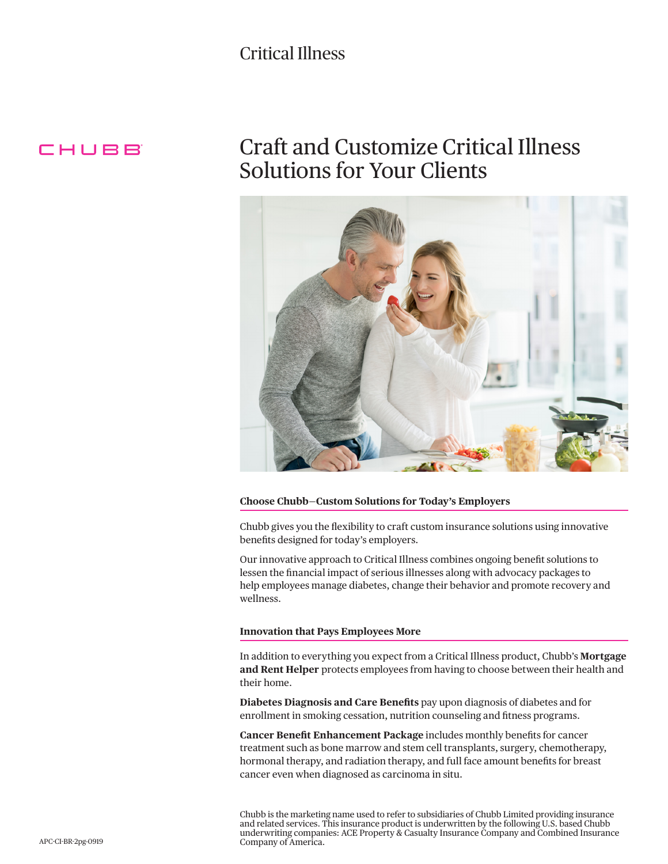# Critical Illness

# CHUBB

# Craft and Customize Critical Illness Solutions for Your Clients



#### **Choose Chubb—Custom Solutions for Today's Employers**

Chubb gives you the flexibility to craft custom insurance solutions using innovative benefits designed for today's employers.

Our innovative approach to Critical Illness combines ongoing benefit solutions to lessen the financial impact of serious illnesses along with advocacy packages to help employees manage diabetes, change their behavior and promote recovery and wellness.

#### **Innovation that Pays Employees More**

In addition to everything you expect from a Critical Illness product, Chubb's **Mortgage and Rent Helper** protects employees from having to choose between their health and their home.

**Diabetes Diagnosis and Care Benefits** pay upon diagnosis of diabetes and for enrollment in smoking cessation, nutrition counseling and fitness programs.

**Cancer Benefit Enhancement Package** includes monthly benefits for cancer treatment such as bone marrow and stem cell transplants, surgery, chemotherapy, hormonal therapy, and radiation therapy, and full face amount benefits for breast cancer even when diagnosed as carcinoma in situ.

Chubb is the marketing name used to refer to subsidiaries of Chubb Limited providing insurance and related services. This insurance product is underwritten by the following U.S. based Chubb underwriting companies: ACE Property & Casualty Insurance Company and Combined Insurance Company of America.